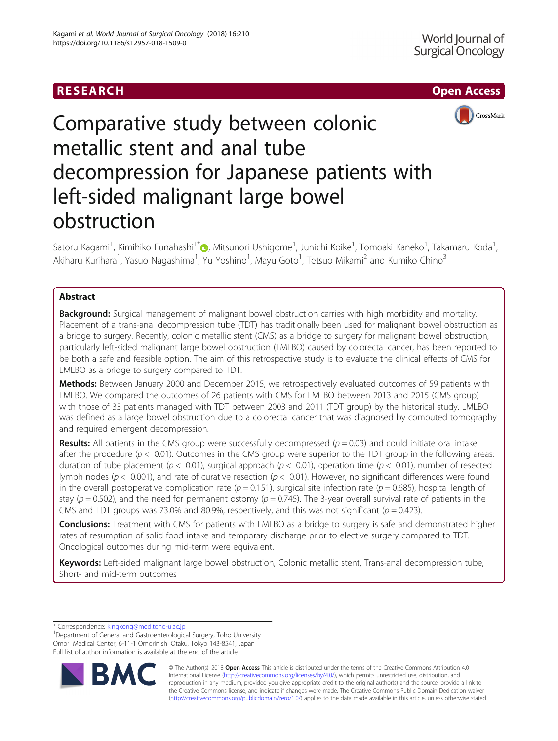## RESEARCH **RESEARCH CHOOSE ACCESS**



# Comparative study between colonic metallic stent and anal tube decompression for Japanese patients with left-sided malignant large bowel obstruction

Satoru Kagami<sup>1</sup>[,](http://orcid.org/0000-0001-5158-9378) Kimihiko Funahashi<sup>1\*</sup>@, Mitsunori Ushigome<sup>1</sup>, Junichi Koike<sup>1</sup>, Tomoaki Kaneko<sup>1</sup>, Takamaru Koda<sup>1</sup> , Akiharu Kurihara<sup>1</sup>, Yasuo Nagashima<sup>1</sup>, Yu Yoshino<sup>1</sup>, Mayu Goto<sup>1</sup>, Tetsuo Mikami<sup>2</sup> and Kumiko Chino<sup>3</sup>

## Abstract

**Background:** Surgical management of malignant bowel obstruction carries with high morbidity and mortality. Placement of a trans-anal decompression tube (TDT) has traditionally been used for malignant bowel obstruction as a bridge to surgery. Recently, colonic metallic stent (CMS) as a bridge to surgery for malignant bowel obstruction, particularly left-sided malignant large bowel obstruction (LMLBO) caused by colorectal cancer, has been reported to be both a safe and feasible option. The aim of this retrospective study is to evaluate the clinical effects of CMS for LMLBO as a bridge to surgery compared to TDT.

Methods: Between January 2000 and December 2015, we retrospectively evaluated outcomes of 59 patients with LMLBO. We compared the outcomes of 26 patients with CMS for LMLBO between 2013 and 2015 (CMS group) with those of 33 patients managed with TDT between 2003 and 2011 (TDT group) by the historical study. LMLBO was defined as a large bowel obstruction due to a colorectal cancer that was diagnosed by computed tomography and required emergent decompression.

**Results:** All patients in the CMS group were successfully decompressed ( $p = 0.03$ ) and could initiate oral intake after the procedure ( $p < 0.01$ ). Outcomes in the CMS group were superior to the TDT group in the following areas: duration of tube placement ( $p < 0.01$ ), surgical approach ( $p < 0.01$ ), operation time ( $p < 0.01$ ), number of resected lymph nodes ( $p < 0.001$ ), and rate of curative resection ( $p < 0.01$ ). However, no significant differences were found in the overall postoperative complication rate ( $p = 0.151$ ), surgical site infection rate ( $p = 0.685$ ), hospital length of stay ( $p = 0.502$ ), and the need for permanent ostomy ( $p = 0.745$ ). The 3-year overall survival rate of patients in the CMS and TDT groups was 73.0% and 80.9%, respectively, and this was not significant ( $p = 0.423$ ).

**Conclusions:** Treatment with CMS for patients with LMLBO as a bridge to surgery is safe and demonstrated higher rates of resumption of solid food intake and temporary discharge prior to elective surgery compared to TDT. Oncological outcomes during mid-term were equivalent.

Keywords: Left-sided malignant large bowel obstruction, Colonic metallic stent, Trans-anal decompression tube, Short- and mid-term outcomes

\* Correspondence: [kingkong@med.toho-u.ac.jp](mailto:kingkong@med.toho-u.ac.jp) <sup>1</sup>

<sup>1</sup>Department of General and Gastroenterological Surgery, Toho University Omori Medical Center, 6-11-1 Omorinishi Otaku, Tokyo 143-8541, Japan Full list of author information is available at the end of the article



© The Author(s). 2018 Open Access This article is distributed under the terms of the Creative Commons Attribution 4.0 International License [\(http://creativecommons.org/licenses/by/4.0/](http://creativecommons.org/licenses/by/4.0/)), which permits unrestricted use, distribution, and reproduction in any medium, provided you give appropriate credit to the original author(s) and the source, provide a link to the Creative Commons license, and indicate if changes were made. The Creative Commons Public Domain Dedication waiver [\(http://creativecommons.org/publicdomain/zero/1.0/](http://creativecommons.org/publicdomain/zero/1.0/)) applies to the data made available in this article, unless otherwise stated.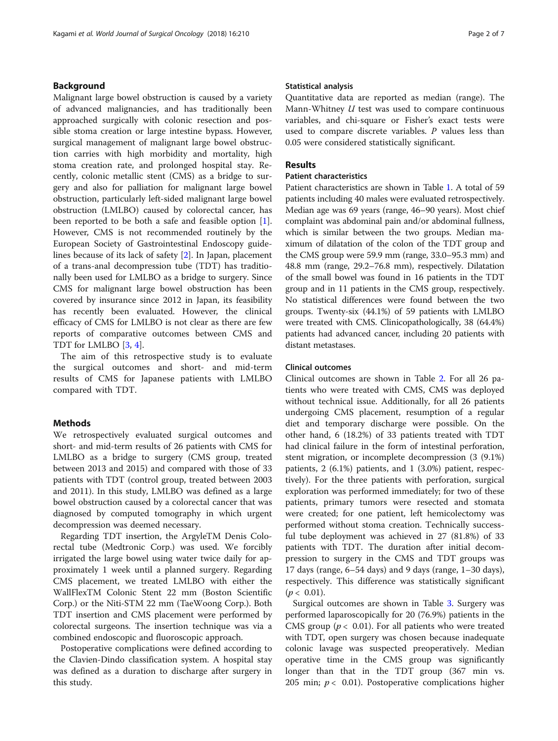## Background

Malignant large bowel obstruction is caused by a variety of advanced malignancies, and has traditionally been approached surgically with colonic resection and possible stoma creation or large intestine bypass. However, surgical management of malignant large bowel obstruction carries with high morbidity and mortality, high stoma creation rate, and prolonged hospital stay. Recently, colonic metallic stent (CMS) as a bridge to surgery and also for palliation for malignant large bowel obstruction, particularly left-sided malignant large bowel obstruction (LMLBO) caused by colorectal cancer, has been reported to be both a safe and feasible option [\[1](#page-6-0)]. However, CMS is not recommended routinely by the European Society of Gastrointestinal Endoscopy guidelines because of its lack of safety [\[2\]](#page-6-0). In Japan, placement of a trans-anal decompression tube (TDT) has traditionally been used for LMLBO as a bridge to surgery. Since CMS for malignant large bowel obstruction has been covered by insurance since 2012 in Japan, its feasibility has recently been evaluated. However, the clinical efficacy of CMS for LMLBO is not clear as there are few reports of comparative outcomes between CMS and TDT for LMLBO [[3,](#page-6-0) [4\]](#page-6-0).

The aim of this retrospective study is to evaluate the surgical outcomes and short- and mid-term results of CMS for Japanese patients with LMLBO compared with TDT.

## Methods

We retrospectively evaluated surgical outcomes and short- and mid-term results of 26 patients with CMS for LMLBO as a bridge to surgery (CMS group, treated between 2013 and 2015) and compared with those of 33 patients with TDT (control group, treated between 2003 and 2011). In this study, LMLBO was defined as a large bowel obstruction caused by a colorectal cancer that was diagnosed by computed tomography in which urgent decompression was deemed necessary.

Regarding TDT insertion, the ArgyleTM Denis Colorectal tube (Medtronic Corp.) was used. We forcibly irrigated the large bowel using water twice daily for approximately 1 week until a planned surgery. Regarding CMS placement, we treated LMLBO with either the WallFlexTM Colonic Stent 22 mm (Boston Scientific Corp.) or the Niti-STM 22 mm (TaeWoong Corp.). Both TDT insertion and CMS placement were performed by colorectal surgeons. The insertion technique was via a combined endoscopic and fluoroscopic approach.

Postoperative complications were defined according to the Clavien-Dindo classification system. A hospital stay was defined as a duration to discharge after surgery in this study.

#### Statistical analysis

Quantitative data are reported as median (range). The Mann-Whitney  $U$  test was used to compare continuous variables, and chi-square or Fisher's exact tests were used to compare discrete variables.  $P$  values less than 0.05 were considered statistically significant.

### Results

## Patient characteristics

Patient characteristics are shown in Table [1](#page-2-0). A total of 59 patients including 40 males were evaluated retrospectively. Median age was 69 years (range, 46–90 years). Most chief complaint was abdominal pain and/or abdominal fullness, which is similar between the two groups. Median maximum of dilatation of the colon of the TDT group and the CMS group were 59.9 mm (range, 33.0–95.3 mm) and 48.8 mm (range, 29.2–76.8 mm), respectively. Dilatation of the small bowel was found in 16 patients in the TDT group and in 11 patients in the CMS group, respectively. No statistical differences were found between the two groups. Twenty-six (44.1%) of 59 patients with LMLBO were treated with CMS. Clinicopathologically, 38 (64.4%) patients had advanced cancer, including 20 patients with distant metastases.

#### Clinical outcomes

Clinical outcomes are shown in Table [2.](#page-3-0) For all 26 patients who were treated with CMS, CMS was deployed without technical issue. Additionally, for all 26 patients undergoing CMS placement, resumption of a regular diet and temporary discharge were possible. On the other hand, 6 (18.2%) of 33 patients treated with TDT had clinical failure in the form of intestinal perforation, stent migration, or incomplete decompression (3 (9.1%) patients, 2 (6.1%) patients, and 1 (3.0%) patient, respectively). For the three patients with perforation, surgical exploration was performed immediately; for two of these patients, primary tumors were resected and stomata were created; for one patient, left hemicolectomy was performed without stoma creation. Technically successful tube deployment was achieved in 27 (81.8%) of 33 patients with TDT. The duration after initial decompression to surgery in the CMS and TDT groups was 17 days (range, 6–54 days) and 9 days (range, 1–30 days), respectively. This difference was statistically significant  $(p < 0.01)$ .

Surgical outcomes are shown in Table [3](#page-3-0). Surgery was performed laparoscopically for 20 (76.9%) patients in the CMS group ( $p < 0.01$ ). For all patients who were treated with TDT, open surgery was chosen because inadequate colonic lavage was suspected preoperatively. Median operative time in the CMS group was significantly longer than that in the TDT group (367 min vs. 205 min;  $p < 0.01$ ). Postoperative complications higher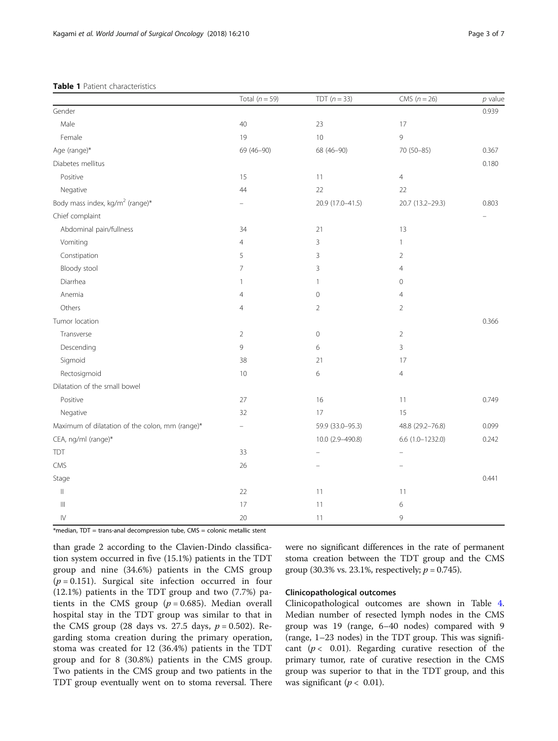#### <span id="page-2-0"></span>Table 1 Patient characteristics

|                                                 | Total $(n = 59)$         | TDT $(n = 33)$   | CMS $(n = 26)$         | $p$ value |
|-------------------------------------------------|--------------------------|------------------|------------------------|-----------|
| Gender                                          |                          |                  |                        | 0.939     |
| Male                                            | 40                       | 23               | 17                     |           |
| Female                                          | 19                       | 10               | 9                      |           |
| Age (range)*                                    | 69 (46-90)               | 68 (46-90)       | 70 (50-85)             | 0.367     |
| Diabetes mellitus                               |                          |                  |                        | 0.180     |
| Positive                                        | 15                       | 11               | $\overline{4}$         |           |
| Negative                                        | 44                       | 22               | 22                     |           |
| Body mass index, kg/m <sup>2</sup> (range)*     |                          | 20.9 (17.0-41.5) | 20.7 (13.2-29.3)       | 0.803     |
| Chief complaint                                 |                          |                  |                        |           |
| Abdominal pain/fullness                         | 34                       | 21               | 13                     |           |
| Vomiting                                        | $\overline{4}$           | 3                | $\mathbf{1}$           |           |
| Constipation                                    | 5                        | 3                | $\overline{2}$         |           |
| Bloody stool                                    | $\overline{7}$           | 3                | $\overline{4}$         |           |
| Diarrhea                                        | $\mathbf{1}$             | $\mathbf{1}$     | $\overline{0}$         |           |
| Anemia                                          | $\overline{4}$           | $\mathbf 0$      | $\overline{4}$         |           |
| Others                                          | $\overline{4}$           | $\overline{2}$   | $\overline{2}$         |           |
| Tumor location                                  |                          |                  |                        | 0.366     |
| Transverse                                      | $\overline{2}$           | $\mathbf 0$      | $\overline{2}$         |           |
| Descending                                      | $\mathsf 9$              | 6                | 3                      |           |
| Sigmoid                                         | 38                       | 21               | 17                     |           |
| Rectosigmoid                                    | 10                       | 6                | $\overline{4}$         |           |
| Dilatation of the small bowel                   |                          |                  |                        |           |
| Positive                                        | 27                       | 16               | 11                     | 0.749     |
| Negative                                        | 32                       | 17               | 15                     |           |
| Maximum of dilatation of the colon, mm (range)* | $\overline{\phantom{m}}$ | 59.9 (33.0-95.3) | 48.8 (29.2-76.8)       | 0.099     |
| CEA, ng/ml (range)*                             |                          | 10.0 (2.9-490.8) | $6.6$ $(1.0 - 1232.0)$ | 0.242     |
| TDT                                             | 33                       |                  | ÷                      |           |
| CMS                                             | 26                       |                  | ÷                      |           |
| Stage                                           |                          |                  |                        | 0.441     |
| $\vert\vert$                                    | 22                       | 11               | 11                     |           |
| $\mathop{\mathrm{III}}\nolimits$                | 17                       | 11               | 6                      |           |
| $\mathsf{IV}$                                   | 20                       | 11               | 9                      |           |

\*median, TDT = trans-anal decompression tube, CMS = colonic metallic stent

than grade 2 according to the Clavien-Dindo classification system occurred in five (15.1%) patients in the TDT group and nine (34.6%) patients in the CMS group  $(p = 0.151)$ . Surgical site infection occurred in four (12.1%) patients in the TDT group and two (7.7%) patients in the CMS group ( $p = 0.685$ ). Median overall hospital stay in the TDT group was similar to that in the CMS group (28 days vs. 27.5 days,  $p = 0.502$ ). Regarding stoma creation during the primary operation, stoma was created for 12 (36.4%) patients in the TDT group and for 8 (30.8%) patients in the CMS group. Two patients in the CMS group and two patients in the TDT group eventually went on to stoma reversal. There were no significant differences in the rate of permanent stoma creation between the TDT group and the CMS group (30.3% vs. 23.1%, respectively;  $p = 0.745$ ).

## Clinicopathological outcomes

Clinicopathological outcomes are shown in Table [4](#page-4-0). Median number of resected lymph nodes in the CMS group was 19 (range, 6–40 nodes) compared with 9 (range, 1–23 nodes) in the TDT group. This was significant ( $p < 0.01$ ). Regarding curative resection of the primary tumor, rate of curative resection in the CMS group was superior to that in the TDT group, and this was significant ( $p < 0.01$ ).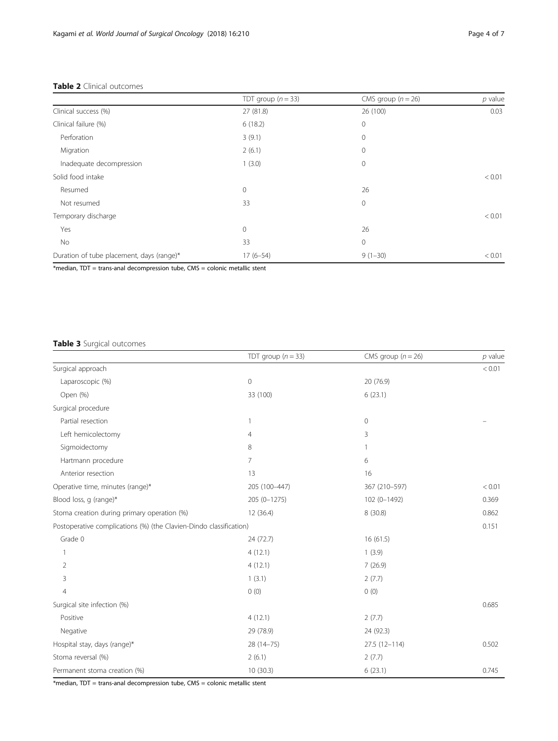## <span id="page-3-0"></span>Table 2 Clinical outcomes

|                                           | TDT group $(n = 33)$ | CMS group $(n = 26)$ | $p$ value |
|-------------------------------------------|----------------------|----------------------|-----------|
| Clinical success (%)                      | 27 (81.8)            | 26 (100)             | 0.03      |
| Clinical failure (%)                      | 6(18.2)              | $\circ$              |           |
| Perforation                               | 3(9.1)               | $\mathbf{0}$         |           |
| Migration                                 | 2(6.1)               | $\mathbf{0}$         |           |
| Inadequate decompression                  | 1(3.0)               | $\overline{0}$       |           |
| Solid food intake                         |                      |                      | < 0.01    |
| Resumed                                   | $\mathbf{0}$         | 26                   |           |
| Not resumed                               | 33                   | $\mathbf{0}$         |           |
| Temporary discharge                       |                      |                      | < 0.01    |
| Yes                                       | $\mathbf{0}$         | 26                   |           |
| No                                        | 33                   | $\mathbf{0}$         |           |
| Duration of tube placement, days (range)* | $17(6-54)$           | $9(1-30)$            | < 0.01    |

 $*$ median, TDT = trans-anal decompression tube, CMS = colonic metallic stent

## Table 3 Surgical outcomes

|                                                                    | TDT group $(n = 33)$ | CMS group $(n = 26)$ | $p$ value |
|--------------------------------------------------------------------|----------------------|----------------------|-----------|
| Surgical approach                                                  |                      |                      | < 0.01    |
| Laparoscopic (%)                                                   | $\mathbf 0$          | 20 (76.9)            |           |
| Open (%)                                                           | 33 (100)             | 6(23.1)              |           |
| Surgical procedure                                                 |                      |                      |           |
| Partial resection                                                  | $\overline{1}$       | $\mathbf 0$          |           |
| Left hemicolectomy                                                 | $\overline{4}$       | 3                    |           |
| Sigmoidectomy                                                      | 8                    |                      |           |
| Hartmann procedure                                                 | $\overline{7}$       | 6                    |           |
| Anterior resection                                                 | 13                   | 16                   |           |
| Operative time, minutes (range)*                                   | 205 (100-447)        | 367 (210-597)        | < 0.01    |
| Blood loss, q (range)*                                             | 205 (0-1275)         | 102 (0-1492)         | 0.369     |
| Stoma creation during primary operation (%)                        | 12(36.4)             | 8(30.8)              | 0.862     |
| Postoperative complications (%) (the Clavien-Dindo classification) |                      |                      | 0.151     |
| Grade 0                                                            | 24 (72.7)            | 16(61.5)             |           |
| 1                                                                  | 4(12.1)              | 1(3.9)               |           |
| $\overline{2}$                                                     | 4(12.1)              | 7(26.9)              |           |
| 3                                                                  | 1(3.1)               | 2(7.7)               |           |
| $\overline{4}$                                                     | 0(0)                 | 0(0)                 |           |
| Surgical site infection (%)                                        |                      |                      | 0.685     |
| Positive                                                           | 4(12.1)              | 2(7.7)               |           |
| Negative                                                           | 29 (78.9)            | 24 (92.3)            |           |
| Hospital stay, days (range)*                                       | $28(14-75)$          | 27.5 (12-114)        | 0.502     |
| Stoma reversal (%)                                                 | 2(6.1)               | 2(7.7)               |           |
| Permanent stoma creation (%)                                       | 10(30.3)             | 6(23.1)              | 0.745     |

 $*$ median, TDT = trans-anal decompression tube, CMS = colonic metallic stent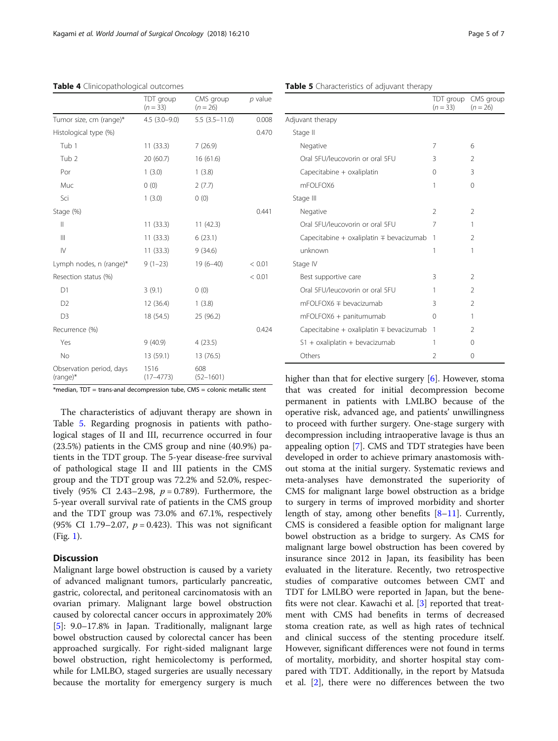|                                      | TDT group<br>$(n = 33)$ | CMS group<br>$(n = 26)$ | $p$ value |
|--------------------------------------|-------------------------|-------------------------|-----------|
| Tumor size, cm (range)*              | $4.5(3.0-9.0)$          | $5.5(3.5-11.0)$         | 0.008     |
| Histological type (%)                |                         |                         | 0.470     |
| Tub 1                                | 11(33.3)                | 7(26.9)                 |           |
| Tub <sub>2</sub>                     | 20(60.7)                | 16(61.6)                |           |
| Por                                  | 1(3.0)                  | 1(3.8)                  |           |
| Muc                                  | (0)                     | 2(7.7)                  |           |
| Sci                                  | 1(3.0)                  | 0(0)                    |           |
| Stage (%)                            |                         |                         | 0.441     |
| $\mathbf{  }$                        | 11(33.3)                | 11(42.3)                |           |
| $\mathbb{H}$                         | 11(33.3)                | 6(23.1)                 |           |
| $\mathsf{IV}$                        | 11(33.3)                | 9(34.6)                 |           |
| Lymph nodes, n (range)*              | $9(1-23)$               | $19(6 - 40)$            | < 0.01    |
| Resection status (%)                 |                         |                         | < 0.01    |
| D1                                   | 3(9.1)                  | 0(0)                    |           |
| D <sub>2</sub>                       | 12(36.4)                | 1(3.8)                  |           |
| D <sub>3</sub>                       | 18 (54.5)               | 25 (96.2)               |           |
| Recurrence (%)                       |                         |                         | 0.424     |
| Yes                                  | 9(40.9)                 | 4(23.5)                 |           |
| <b>No</b>                            | 13 (59.1)               | 13 (76.5)               |           |
| Observation period, days<br>(range)* | 1516<br>$(17 - 4773)$   | 608<br>$(52 - 1601)$    |           |

<span id="page-4-0"></span>Table 4 Clinicopathological outcomes

\*median, TDT = trans-anal decompression tube, CMS = colonic metallic stent

The characteristics of adjuvant therapy are shown in Table 5. Regarding prognosis in patients with pathological stages of II and III, recurrence occurred in four (23.5%) patients in the CMS group and nine (40.9%) patients in the TDT group. The 5-year disease-free survival of pathological stage II and III patients in the CMS group and the TDT group was 72.2% and 52.0%, respectively (95% CI 2.43–2.98,  $p = 0.789$ ). Furthermore, the 5-year overall survival rate of patients in the CMS group and the TDT group was 73.0% and 67.1%, respectively (95% CI 1.79–2.07,  $p = 0.423$ ). This was not significant (Fig. [1](#page-5-0)).

## **Discussion**

Malignant large bowel obstruction is caused by a variety of advanced malignant tumors, particularly pancreatic, gastric, colorectal, and peritoneal carcinomatosis with an ovarian primary. Malignant large bowel obstruction caused by colorectal cancer occurs in approximately 20% [[5\]](#page-6-0): 9.0–17.8% in Japan. Traditionally, malignant large bowel obstruction caused by colorectal cancer has been approached surgically. For right-sided malignant large bowel obstruction, right hemicolectomy is performed, while for LMLBO, staged surgeries are usually necessary because the mortality for emergency surgery is much

|                                              | TDT group<br>$(n = 33)$ | CMS group<br>$(n = 26)$ |
|----------------------------------------------|-------------------------|-------------------------|
| Adjuvant therapy                             |                         |                         |
| Stage II                                     |                         |                         |
| Negative                                     | 7                       | 6                       |
| Oral 5FU/leucovorin or oral 5FU              | 3                       | $\mathcal{P}$           |
| Capecitabine + oxaliplatin                   | $\Omega$                | 3                       |
| mFOLFOX6                                     | 1                       | $\Omega$                |
| Stage III                                    |                         |                         |
| Negative                                     | $\mathfrak{D}$          | $\mathfrak{D}$          |
| Oral 5FU/leucovorin or oral 5FU              | 7                       | 1                       |
| Capecitabine + oxaliplatin $\mp$ bevacizumab | 1                       | $\mathfrak{D}$          |
| unknown                                      | 1                       | 1                       |
| Stage IV                                     |                         |                         |
| Best supportive care                         | 3                       | $\mathfrak{D}$          |
| Oral 5FU/leucovorin or oral 5FU              | 1                       | $\mathfrak{D}$          |
| $mFOLFOX6 \mp$ bevacizumab                   | 3                       | $\mathfrak{D}$          |
| mFOLFOX6 + panitumumab                       | $\Omega$                | 1                       |
| Capecitabine + oxaliplatin $\mp$ bevacizumab | 1                       | $\mathfrak{D}$          |
| $S1 + 0x$ aliplatin + bevacizumab            | 1                       | $\Omega$                |
| Others                                       | $\mathfrak{D}$          | $\Omega$                |

#### Table 5 Characteristics of adjuvant therapy

higher than that for elective surgery [\[6](#page-6-0)]. However, stoma that was created for initial decompression become permanent in patients with LMLBO because of the operative risk, advanced age, and patients' unwillingness to proceed with further surgery. One-stage surgery with decompression including intraoperative lavage is thus an appealing option [\[7](#page-6-0)]. CMS and TDT strategies have been developed in order to achieve primary anastomosis without stoma at the initial surgery. Systematic reviews and meta-analyses have demonstrated the superiority of CMS for malignant large bowel obstruction as a bridge to surgery in terms of improved morbidity and shorter length of stay, among other benefits  $[8-11]$  $[8-11]$  $[8-11]$  $[8-11]$ . Currently, CMS is considered a feasible option for malignant large bowel obstruction as a bridge to surgery. As CMS for malignant large bowel obstruction has been covered by insurance since 2012 in Japan, its feasibility has been evaluated in the literature. Recently, two retrospective studies of comparative outcomes between CMT and TDT for LMLBO were reported in Japan, but the benefits were not clear. Kawachi et al. [[3\]](#page-6-0) reported that treatment with CMS had benefits in terms of decreased stoma creation rate, as well as high rates of technical and clinical success of the stenting procedure itself. However, significant differences were not found in terms of mortality, morbidity, and shorter hospital stay compared with TDT. Additionally, in the report by Matsuda et al. [\[2\]](#page-6-0), there were no differences between the two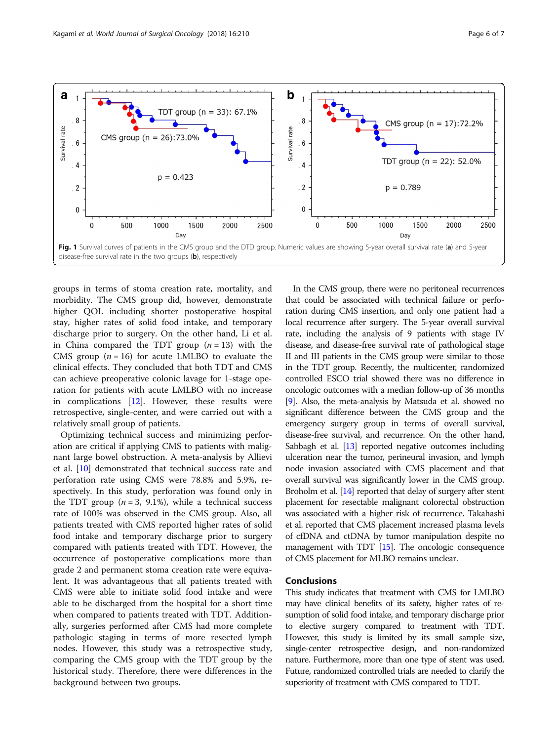<span id="page-5-0"></span>

groups in terms of stoma creation rate, mortality, and morbidity. The CMS group did, however, demonstrate higher QOL including shorter postoperative hospital stay, higher rates of solid food intake, and temporary discharge prior to surgery. On the other hand, Li et al. in China compared the TDT group  $(n = 13)$  with the CMS group  $(n = 16)$  for acute LMLBO to evaluate the clinical effects. They concluded that both TDT and CMS can achieve preoperative colonic lavage for 1-stage operation for patients with acute LMLBO with no increase in complications [[12\]](#page-6-0). However, these results were retrospective, single-center, and were carried out with a relatively small group of patients.

Optimizing technical success and minimizing perforation are critical if applying CMS to patients with malignant large bowel obstruction. A meta-analysis by Allievi et al. [\[10](#page-6-0)] demonstrated that technical success rate and perforation rate using CMS were 78.8% and 5.9%, respectively. In this study, perforation was found only in the TDT group  $(n = 3, 9.1\%)$ , while a technical success rate of 100% was observed in the CMS group. Also, all patients treated with CMS reported higher rates of solid food intake and temporary discharge prior to surgery compared with patients treated with TDT. However, the occurrence of postoperative complications more than grade 2 and permanent stoma creation rate were equivalent. It was advantageous that all patients treated with CMS were able to initiate solid food intake and were able to be discharged from the hospital for a short time when compared to patients treated with TDT. Additionally, surgeries performed after CMS had more complete pathologic staging in terms of more resected lymph nodes. However, this study was a retrospective study, comparing the CMS group with the TDT group by the historical study. Therefore, there were differences in the background between two groups.

In the CMS group, there were no peritoneal recurrences that could be associated with technical failure or perforation during CMS insertion, and only one patient had a local recurrence after surgery. The 5-year overall survival rate, including the analysis of 9 patients with stage IV disease, and disease-free survival rate of pathological stage II and III patients in the CMS group were similar to those in the TDT group. Recently, the multicenter, randomized controlled ESCO trial showed there was no difference in oncologic outcomes with a median follow-up of 36 months [[9](#page-6-0)]. Also, the meta-analysis by Matsuda et al. showed no significant difference between the CMS group and the emergency surgery group in terms of overall survival, disease-free survival, and recurrence. On the other hand, Sabbagh et al. [\[13](#page-6-0)] reported negative outcomes including ulceration near the tumor, perineural invasion, and lymph node invasion associated with CMS placement and that overall survival was significantly lower in the CMS group. Broholm et al. [\[14](#page-6-0)] reported that delay of surgery after stent placement for resectable malignant colorectal obstruction was associated with a higher risk of recurrence. Takahashi et al. reported that CMS placement increased plasma levels of cfDNA and ctDNA by tumor manipulation despite no management with TDT [[15](#page-6-0)]. The oncologic consequence of CMS placement for MLBO remains unclear.

## Conclusions

This study indicates that treatment with CMS for LMLBO may have clinical benefits of its safety, higher rates of resumption of solid food intake, and temporary discharge prior to elective surgery compared to treatment with TDT. However, this study is limited by its small sample size, single-center retrospective design, and non-randomized nature. Furthermore, more than one type of stent was used. Future, randomized controlled trials are needed to clarify the superiority of treatment with CMS compared to TDT.